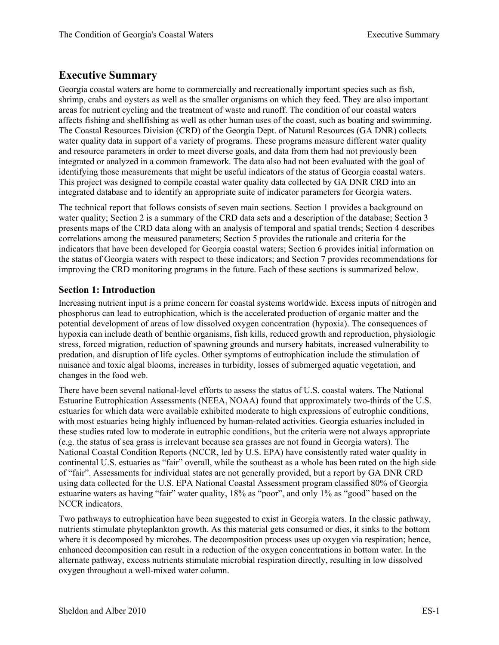# **Executive Summary**

Georgia coastal waters are home to commercially and recreationally important species such as fish, shrimp, crabs and oysters as well as the smaller organisms on which they feed. They are also important areas for nutrient cycling and the treatment of waste and runoff. The condition of our coastal waters affects fishing and shellfishing as well as other human uses of the coast, such as boating and swimming. The Coastal Resources Division (CRD) of the Georgia Dept. of Natural Resources (GA DNR) collects water quality data in support of a variety of programs. These programs measure different water quality and resource parameters in order to meet diverse goals, and data from them had not previously been integrated or analyzed in a common framework. The data also had not been evaluated with the goal of identifying those measurements that might be useful indicators of the status of Georgia coastal waters. This project was designed to compile coastal water quality data collected by GA DNR CRD into an integrated database and to identify an appropriate suite of indicator parameters for Georgia waters.

The technical report that follows consists of seven main sections. Section 1 provides a background on water quality; Section 2 is a summary of the CRD data sets and a description of the database; Section 3 presents maps of the CRD data along with an analysis of temporal and spatial trends; Section 4 describes correlations among the measured parameters; Section 5 provides the rationale and criteria for the indicators that have been developed for Georgia coastal waters; Section 6 provides initial information on the status of Georgia waters with respect to these indicators; and Section 7 provides recommendations for improving the CRD monitoring programs in the future. Each of these sections is summarized below.

#### **Section 1: Introduction**

Increasing nutrient input is a prime concern for coastal systems worldwide. Excess inputs of nitrogen and phosphorus can lead to eutrophication, which is the accelerated production of organic matter and the potential development of areas of low dissolved oxygen concentration (hypoxia). The consequences of hypoxia can include death of benthic organisms, fish kills, reduced growth and reproduction, physiologic stress, forced migration, reduction of spawning grounds and nursery habitats, increased vulnerability to predation, and disruption of life cycles. Other symptoms of eutrophication include the stimulation of nuisance and toxic algal blooms, increases in turbidity, losses of submerged aquatic vegetation, and changes in the food web.

There have been several national-level efforts to assess the status of U.S. coastal waters. The National Estuarine Eutrophication Assessments (NEEA, NOAA) found that approximately two-thirds of the U.S. estuaries for which data were available exhibited moderate to high expressions of eutrophic conditions, with most estuaries being highly influenced by human-related activities. Georgia estuaries included in these studies rated low to moderate in eutrophic conditions, but the criteria were not always appropriate (e.g. the status of sea grass is irrelevant because sea grasses are not found in Georgia waters). The National Coastal Condition Reports (NCCR, led by U.S. EPA) have consistently rated water quality in continental U.S. estuaries as "fair" overall, while the southeast as a whole has been rated on the high side of "fair". Assessments for individual states are not generally provided, but a report by GA DNR CRD using data collected for the U.S. EPA National Coastal Assessment program classified 80% of Georgia estuarine waters as having "fair" water quality, 18% as "poor", and only 1% as "good" based on the NCCR indicators.

Two pathways to eutrophication have been suggested to exist in Georgia waters. In the classic pathway, nutrients stimulate phytoplankton growth. As this material gets consumed or dies, it sinks to the bottom where it is decomposed by microbes. The decomposition process uses up oxygen via respiration; hence, enhanced decomposition can result in a reduction of the oxygen concentrations in bottom water. In the alternate pathway, excess nutrients stimulate microbial respiration directly, resulting in low dissolved oxygen throughout a well-mixed water column.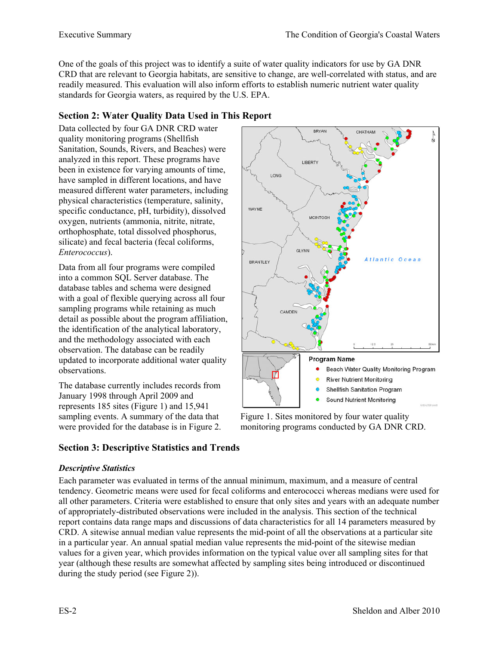One of the goals of this project was to identify a suite of water quality indicators for use by GA DNR CRD that are relevant to Georgia habitats, are sensitive to change, are well-correlated with status, and are readily measured. This evaluation will also inform efforts to establish numeric nutrient water quality standards for Georgia waters, as required by the U.S. EPA.

## **Section 2: Water Quality Data Used in This Report**

Data collected by four GA DNR CRD water quality monitoring programs (Shellfish Sanitation, Sounds, Rivers, and Beaches) were analyzed in this report. These programs have been in existence for varying amounts of time, have sampled in different locations, and have measured different water parameters, including physical characteristics (temperature, salinity, specific conductance, pH, turbidity), dissolved oxygen, nutrients (ammonia, nitrite, nitrate, orthophosphate, total dissolved phosphorus, silicate) and fecal bacteria (fecal coliforms, *Enterococcus*).

Data from all four programs were compiled into a common SQL Server database. The database tables and schema were designed with a goal of flexible querying across all four sampling programs while retaining as much detail as possible about the program affiliation, the identification of the analytical laboratory, and the methodology associated with each observation. The database can be readily updated to incorporate additional water quality observations.

The database currently includes records from January 1998 through April 2009 and represents 185 sites (Figure 1) and 15,941 sampling events. A summary of the data that were provided for the database is in Figure 2.



Figure 1. Sites monitored by four water quality monitoring programs conducted by GA DNR CRD.

## **Section 3: Descriptive Statistics and Trends**

#### *Descriptive Statistics*

Each parameter was evaluated in terms of the annual minimum, maximum, and a measure of central tendency. Geometric means were used for fecal coliforms and enterococci whereas medians were used for all other parameters. Criteria were established to ensure that only sites and years with an adequate number of appropriately-distributed observations were included in the analysis. This section of the technical report contains data range maps and discussions of data characteristics for all 14 parameters measured by CRD. A sitewise annual median value represents the mid-point of all the observations at a particular site in a particular year. An annual spatial median value represents the mid-point of the sitewise median values for a given year, which provides information on the typical value over all sampling sites for that year (although these results are somewhat affected by sampling sites being introduced or discontinued during the study period (see Figure 2)).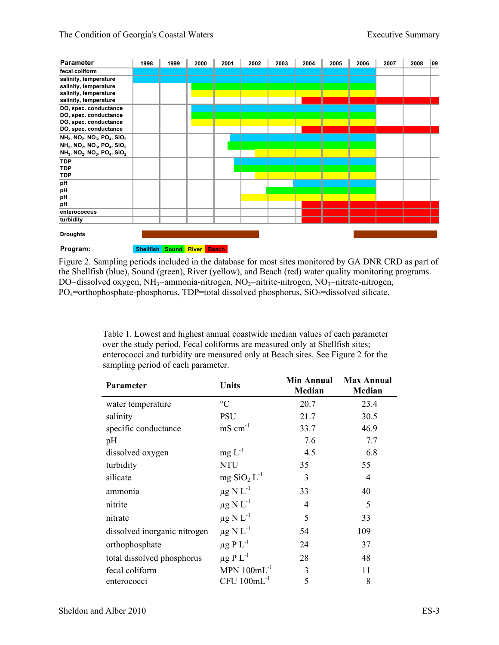| <b>Parameter</b>                                                                         | 1998      | 1999        | 2000 | 2001         | 2002 | 2003 | 2004 | 2005 | 2006 | 2007 | 2008 | 09 |
|------------------------------------------------------------------------------------------|-----------|-------------|------|--------------|------|------|------|------|------|------|------|----|
| fecal coliform                                                                           |           |             |      |              |      |      |      |      |      |      |      |    |
| salinity, temperature                                                                    |           |             |      |              |      |      |      |      |      |      |      |    |
| salinity, temperature                                                                    |           |             |      |              |      |      |      |      |      |      |      |    |
| salinity, temperature                                                                    |           |             |      |              |      |      |      |      |      |      |      |    |
| salinity, temperature                                                                    |           |             |      |              |      |      |      |      |      |      |      |    |
| DO, spec. conductance                                                                    |           |             |      |              |      |      |      |      |      |      |      |    |
| DO, spec. conductance                                                                    |           |             |      |              |      |      |      |      |      |      |      |    |
| DO, spec. conductance                                                                    |           |             |      |              |      |      |      |      |      |      |      |    |
| DO, spec. conductance                                                                    |           |             |      |              |      |      |      |      |      |      |      |    |
| NH <sub>3</sub> , NO <sub>2</sub> , NO <sub>3</sub> , PO <sub>4</sub> , SiO <sub>2</sub> |           |             |      |              |      |      |      |      |      |      |      |    |
| NH <sub>3</sub> , NO <sub>2</sub> , NO <sub>3</sub> , PO <sub>4</sub> , SiO <sub>2</sub> |           |             |      |              |      |      |      |      |      |      |      |    |
| NH <sub>3</sub> , NO <sub>2</sub> , NO <sub>3</sub> , PO <sub>4</sub> , SiO <sub>2</sub> |           |             |      |              |      |      |      |      |      |      |      |    |
| <b>TDP</b>                                                                               |           |             |      |              |      |      |      |      |      |      |      |    |
| <b>TDP</b>                                                                               |           |             |      |              |      |      |      |      |      |      |      |    |
| <b>TDP</b>                                                                               |           |             |      |              |      |      |      |      |      |      |      |    |
| pH                                                                                       |           |             |      |              |      |      |      |      |      |      |      |    |
| pH                                                                                       |           |             |      |              |      |      |      |      |      |      |      |    |
| рH                                                                                       |           |             |      |              |      |      |      |      |      |      |      |    |
| pH                                                                                       |           |             |      |              |      |      |      |      |      |      |      |    |
| enterococcus                                                                             |           |             |      |              |      |      |      |      |      |      |      |    |
| turbidity                                                                                |           |             |      |              |      |      |      |      |      |      |      |    |
| <b>Droughts</b>                                                                          |           |             |      |              |      |      |      |      |      |      |      |    |
| Program:                                                                                 | Shellfish | Sound River |      | <b>Beach</b> |      |      |      |      |      |      |      |    |

Figure 2. Sampling periods included in the database for most sites monitored by GA DNR CRD as part of the Shellfish (blue), Sound (green), River (yellow), and Beach (red) water quality monitoring programs. DO=dissolved oxygen, NH<sub>3</sub>=ammonia-nitrogen, NO<sub>2</sub>=nitrite-nitrogen, NO<sub>3</sub>=nitrate-nitrogen,  $PO_4$ =orthophosphate-phosphorus, TDP=total dissolved phosphorus, SiO<sub>2</sub>=dissolved silicate.

> Table 1. Lowest and highest annual coastwide median values of each parameter over the study period. Fecal coliforms are measured only at Shellfish sites; enterococci and turbidity are measured only at Beach sites. See Figure 2 for the sampling period of each parameter.

| <b>Parameter</b>             | <b>Units</b>                          | <b>Min Annual</b><br><b>Median</b> | <b>Max Annual</b><br><b>Median</b> |  |
|------------------------------|---------------------------------------|------------------------------------|------------------------------------|--|
| water temperature            | $\rm ^{\circ}C$                       | 20.7                               | 23.4                               |  |
| salinity                     | <b>PSU</b>                            | 21.7                               | 30.5                               |  |
| specific conductance         | $mS$ cm <sup>-1</sup>                 | 33.7                               | 46.9                               |  |
| pH                           |                                       | 7.6                                | 7.7                                |  |
| dissolved oxygen             | $mg L^{-1}$                           | 4.5                                | 6.8                                |  |
| turbidity                    | <b>NTU</b>                            | 35                                 | 55                                 |  |
| silicate                     | $mg$ SiO <sub>2</sub> L <sup>-1</sup> | 3                                  | 4                                  |  |
| ammonia                      | $\mu$ g N L <sup>-1</sup>             | 33                                 | 40                                 |  |
| nitrite                      | $\mu$ g N L <sup>-1</sup>             | 4                                  | 5                                  |  |
| nitrate                      | $\mu$ g N L <sup>-1</sup>             | 5                                  | 33                                 |  |
| dissolved inorganic nitrogen | $\mu$ g N L <sup>-1</sup>             | 54                                 | 109                                |  |
| orthophosphate               | $\mu$ g P L <sup>-1</sup>             | 24                                 | 37                                 |  |
| total dissolved phosphorus   | $\mu$ g P L <sup>-1</sup>             | 28                                 | 48                                 |  |
| fecal coliform               | MPN $100mL^{-1}$                      | 3                                  | 11                                 |  |
| enterococci                  | $CFU 100mL^{-1}$                      | 5                                  | 8                                  |  |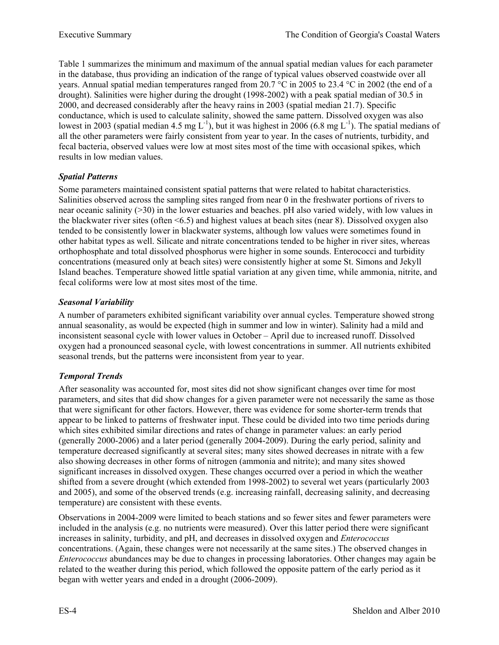Table 1 summarizes the minimum and maximum of the annual spatial median values for each parameter in the database, thus providing an indication of the range of typical values observed coastwide over all years. Annual spatial median temperatures ranged from 20.7 °C in 2005 to 23.4 °C in 2002 (the end of a drought). Salinities were higher during the drought (1998-2002) with a peak spatial median of 30.5 in 2000, and decreased considerably after the heavy rains in 2003 (spatial median 21.7). Specific conductance, which is used to calculate salinity, showed the same pattern. Dissolved oxygen was also lowest in 2003 (spatial median 4.5 mg L<sup>-1</sup>), but it was highest in 2006 (6.8 mg L<sup>-1</sup>). The spatial medians of all the other parameters were fairly consistent from year to year. In the cases of nutrients, turbidity, and fecal bacteria, observed values were low at most sites most of the time with occasional spikes, which results in low median values.

### *Spatial Patterns*

Some parameters maintained consistent spatial patterns that were related to habitat characteristics. Salinities observed across the sampling sites ranged from near 0 in the freshwater portions of rivers to near oceanic salinity (>30) in the lower estuaries and beaches. pH also varied widely, with low values in the blackwater river sites (often <6.5) and highest values at beach sites (near 8). Dissolved oxygen also tended to be consistently lower in blackwater systems, although low values were sometimes found in other habitat types as well. Silicate and nitrate concentrations tended to be higher in river sites, whereas orthophosphate and total dissolved phosphorus were higher in some sounds. Enterococci and turbidity concentrations (measured only at beach sites) were consistently higher at some St. Simons and Jekyll Island beaches. Temperature showed little spatial variation at any given time, while ammonia, nitrite, and fecal coliforms were low at most sites most of the time.

## *Seasonal Variability*

A number of parameters exhibited significant variability over annual cycles. Temperature showed strong annual seasonality, as would be expected (high in summer and low in winter). Salinity had a mild and inconsistent seasonal cycle with lower values in October – April due to increased runoff. Dissolved oxygen had a pronounced seasonal cycle, with lowest concentrations in summer. All nutrients exhibited seasonal trends, but the patterns were inconsistent from year to year.

## *Temporal Trends*

After seasonality was accounted for, most sites did not show significant changes over time for most parameters, and sites that did show changes for a given parameter were not necessarily the same as those that were significant for other factors. However, there was evidence for some shorter-term trends that appear to be linked to patterns of freshwater input. These could be divided into two time periods during which sites exhibited similar directions and rates of change in parameter values: an early period (generally 2000-2006) and a later period (generally 2004-2009). During the early period, salinity and temperature decreased significantly at several sites; many sites showed decreases in nitrate with a few also showing decreases in other forms of nitrogen (ammonia and nitrite); and many sites showed significant increases in dissolved oxygen. These changes occurred over a period in which the weather shifted from a severe drought (which extended from 1998-2002) to several wet years (particularly 2003 and 2005), and some of the observed trends (e.g. increasing rainfall, decreasing salinity, and decreasing temperature) are consistent with these events.

Observations in 2004-2009 were limited to beach stations and so fewer sites and fewer parameters were included in the analysis (e.g. no nutrients were measured). Over this latter period there were significant increases in salinity, turbidity, and pH, and decreases in dissolved oxygen and *Enterococcus* concentrations. (Again, these changes were not necessarily at the same sites.) The observed changes in *Enterococcus* abundances may be due to changes in processing laboratories. Other changes may again be related to the weather during this period, which followed the opposite pattern of the early period as it began with wetter years and ended in a drought (2006-2009).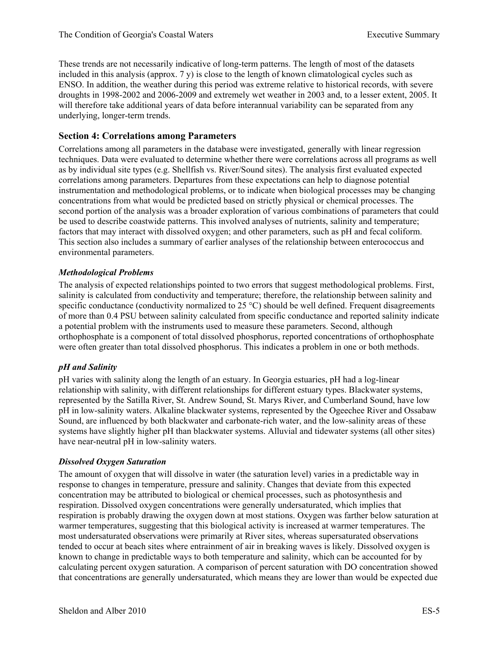These trends are not necessarily indicative of long-term patterns. The length of most of the datasets included in this analysis (approx. 7 y) is close to the length of known climatological cycles such as ENSO. In addition, the weather during this period was extreme relative to historical records, with severe droughts in 1998-2002 and 2006-2009 and extremely wet weather in 2003 and, to a lesser extent, 2005. It will therefore take additional years of data before interannual variability can be separated from any underlying, longer-term trends.

### **Section 4: Correlations among Parameters**

Correlations among all parameters in the database were investigated, generally with linear regression techniques. Data were evaluated to determine whether there were correlations across all programs as well as by individual site types (e.g. Shellfish vs. River/Sound sites). The analysis first evaluated expected correlations among parameters. Departures from these expectations can help to diagnose potential instrumentation and methodological problems, or to indicate when biological processes may be changing concentrations from what would be predicted based on strictly physical or chemical processes. The second portion of the analysis was a broader exploration of various combinations of parameters that could be used to describe coastwide patterns. This involved analyses of nutrients, salinity and temperature; factors that may interact with dissolved oxygen; and other parameters, such as pH and fecal coliform. This section also includes a summary of earlier analyses of the relationship between enterococcus and environmental parameters.

#### *Methodological Problems*

The analysis of expected relationships pointed to two errors that suggest methodological problems. First, salinity is calculated from conductivity and temperature; therefore, the relationship between salinity and specific conductance (conductivity normalized to 25 °C) should be well defined. Frequent disagreements of more than 0.4 PSU between salinity calculated from specific conductance and reported salinity indicate a potential problem with the instruments used to measure these parameters. Second, although orthophosphate is a component of total dissolved phosphorus, reported concentrations of orthophosphate were often greater than total dissolved phosphorus. This indicates a problem in one or both methods.

#### *pH and Salinity*

pH varies with salinity along the length of an estuary. In Georgia estuaries, pH had a log-linear relationship with salinity, with different relationships for different estuary types. Blackwater systems, represented by the Satilla River, St. Andrew Sound, St. Marys River, and Cumberland Sound, have low pH in low-salinity waters. Alkaline blackwater systems, represented by the Ogeechee River and Ossabaw Sound, are influenced by both blackwater and carbonate-rich water, and the low-salinity areas of these systems have slightly higher pH than blackwater systems. Alluvial and tidewater systems (all other sites) have near-neutral pH in low-salinity waters.

#### *Dissolved Oxygen Saturation*

The amount of oxygen that will dissolve in water (the saturation level) varies in a predictable way in response to changes in temperature, pressure and salinity. Changes that deviate from this expected concentration may be attributed to biological or chemical processes, such as photosynthesis and respiration. Dissolved oxygen concentrations were generally undersaturated, which implies that respiration is probably drawing the oxygen down at most stations. Oxygen was farther below saturation at warmer temperatures, suggesting that this biological activity is increased at warmer temperatures. The most undersaturated observations were primarily at River sites, whereas supersaturated observations tended to occur at beach sites where entrainment of air in breaking waves is likely. Dissolved oxygen is known to change in predictable ways to both temperature and salinity, which can be accounted for by calculating percent oxygen saturation. A comparison of percent saturation with DO concentration showed that concentrations are generally undersaturated, which means they are lower than would be expected due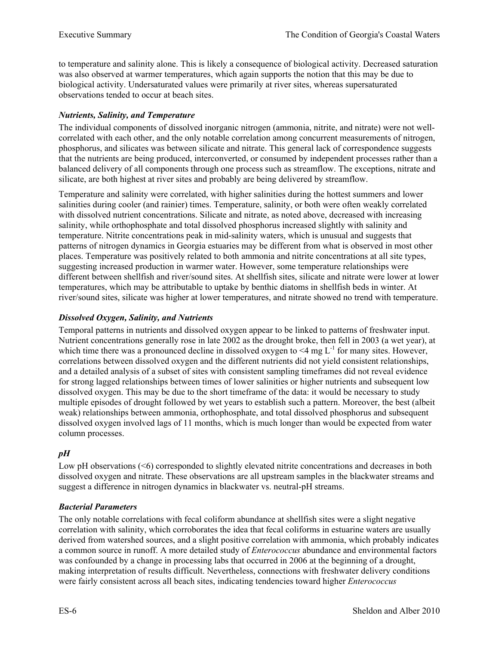to temperature and salinity alone. This is likely a consequence of biological activity. Decreased saturation was also observed at warmer temperatures, which again supports the notion that this may be due to biological activity. Undersaturated values were primarily at river sites, whereas supersaturated observations tended to occur at beach sites.

### *Nutrients, Salinity, and Temperature*

The individual components of dissolved inorganic nitrogen (ammonia, nitrite, and nitrate) were not wellcorrelated with each other, and the only notable correlation among concurrent measurements of nitrogen, phosphorus, and silicates was between silicate and nitrate. This general lack of correspondence suggests that the nutrients are being produced, interconverted, or consumed by independent processes rather than a balanced delivery of all components through one process such as streamflow. The exceptions, nitrate and silicate, are both highest at river sites and probably are being delivered by streamflow.

Temperature and salinity were correlated, with higher salinities during the hottest summers and lower salinities during cooler (and rainier) times. Temperature, salinity, or both were often weakly correlated with dissolved nutrient concentrations. Silicate and nitrate, as noted above, decreased with increasing salinity, while orthophosphate and total dissolved phosphorus increased slightly with salinity and temperature. Nitrite concentrations peak in mid-salinity waters, which is unusual and suggests that patterns of nitrogen dynamics in Georgia estuaries may be different from what is observed in most other places. Temperature was positively related to both ammonia and nitrite concentrations at all site types, suggesting increased production in warmer water. However, some temperature relationships were different between shellfish and river/sound sites. At shellfish sites, silicate and nitrate were lower at lower temperatures, which may be attributable to uptake by benthic diatoms in shellfish beds in winter. At river/sound sites, silicate was higher at lower temperatures, and nitrate showed no trend with temperature.

### *Dissolved Oxygen, Salinity, and Nutrients*

Temporal patterns in nutrients and dissolved oxygen appear to be linked to patterns of freshwater input. Nutrient concentrations generally rose in late 2002 as the drought broke, then fell in 2003 (a wet year), at which time there was a pronounced decline in dissolved oxygen to  $\leq 4$  mg L<sup>-1</sup> for many sites. However, correlations between dissolved oxygen and the different nutrients did not yield consistent relationships, and a detailed analysis of a subset of sites with consistent sampling timeframes did not reveal evidence for strong lagged relationships between times of lower salinities or higher nutrients and subsequent low dissolved oxygen. This may be due to the short timeframe of the data: it would be necessary to study multiple episodes of drought followed by wet years to establish such a pattern. Moreover, the best (albeit weak) relationships between ammonia, orthophosphate, and total dissolved phosphorus and subsequent dissolved oxygen involved lags of 11 months, which is much longer than would be expected from water column processes.

#### *pH*

Low pH observations (<6) corresponded to slightly elevated nitrite concentrations and decreases in both dissolved oxygen and nitrate. These observations are all upstream samples in the blackwater streams and suggest a difference in nitrogen dynamics in blackwater vs. neutral-pH streams.

#### *Bacterial Parameters*

The only notable correlations with fecal coliform abundance at shellfish sites were a slight negative correlation with salinity, which corroborates the idea that fecal coliforms in estuarine waters are usually derived from watershed sources, and a slight positive correlation with ammonia, which probably indicates a common source in runoff. A more detailed study of *Enterococcus* abundance and environmental factors was confounded by a change in processing labs that occurred in 2006 at the beginning of a drought, making interpretation of results difficult. Nevertheless, connections with freshwater delivery conditions were fairly consistent across all beach sites, indicating tendencies toward higher *Enterococcus*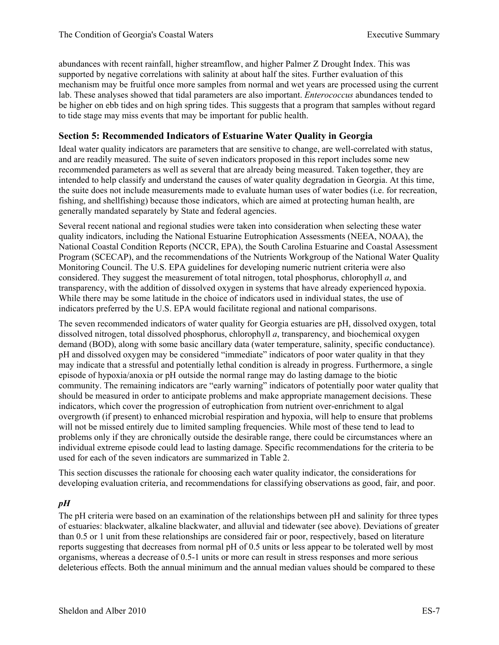abundances with recent rainfall, higher streamflow, and higher Palmer Z Drought Index. This was supported by negative correlations with salinity at about half the sites. Further evaluation of this mechanism may be fruitful once more samples from normal and wet years are processed using the current lab. These analyses showed that tidal parameters are also important. *Enterococcus* abundances tended to be higher on ebb tides and on high spring tides. This suggests that a program that samples without regard to tide stage may miss events that may be important for public health.

### **Section 5: Recommended Indicators of Estuarine Water Quality in Georgia**

Ideal water quality indicators are parameters that are sensitive to change, are well-correlated with status, and are readily measured. The suite of seven indicators proposed in this report includes some new recommended parameters as well as several that are already being measured. Taken together, they are intended to help classify and understand the causes of water quality degradation in Georgia. At this time, the suite does not include measurements made to evaluate human uses of water bodies (i.e. for recreation, fishing, and shellfishing) because those indicators, which are aimed at protecting human health, are generally mandated separately by State and federal agencies.

Several recent national and regional studies were taken into consideration when selecting these water quality indicators, including the National Estuarine Eutrophication Assessments (NEEA, NOAA), the National Coastal Condition Reports (NCCR, EPA), the South Carolina Estuarine and Coastal Assessment Program (SCECAP), and the recommendations of the Nutrients Workgroup of the National Water Quality Monitoring Council. The U.S. EPA guidelines for developing numeric nutrient criteria were also considered. They suggest the measurement of total nitrogen, total phosphorus, chlorophyll *a*, and transparency, with the addition of dissolved oxygen in systems that have already experienced hypoxia. While there may be some latitude in the choice of indicators used in individual states, the use of indicators preferred by the U.S. EPA would facilitate regional and national comparisons.

The seven recommended indicators of water quality for Georgia estuaries are pH, dissolved oxygen, total dissolved nitrogen, total dissolved phosphorus, chlorophyll *a*, transparency, and biochemical oxygen demand (BOD), along with some basic ancillary data (water temperature, salinity, specific conductance). pH and dissolved oxygen may be considered "immediate" indicators of poor water quality in that they may indicate that a stressful and potentially lethal condition is already in progress. Furthermore, a single episode of hypoxia/anoxia or pH outside the normal range may do lasting damage to the biotic community. The remaining indicators are "early warning" indicators of potentially poor water quality that should be measured in order to anticipate problems and make appropriate management decisions. These indicators, which cover the progression of eutrophication from nutrient over-enrichment to algal overgrowth (if present) to enhanced microbial respiration and hypoxia, will help to ensure that problems will not be missed entirely due to limited sampling frequencies. While most of these tend to lead to problems only if they are chronically outside the desirable range, there could be circumstances where an individual extreme episode could lead to lasting damage. Specific recommendations for the criteria to be used for each of the seven indicators are summarized in Table 2.

This section discusses the rationale for choosing each water quality indicator, the considerations for developing evaluation criteria, and recommendations for classifying observations as good, fair, and poor.

#### *pH*

The pH criteria were based on an examination of the relationships between pH and salinity for three types of estuaries: blackwater, alkaline blackwater, and alluvial and tidewater (see above). Deviations of greater than 0.5 or 1 unit from these relationships are considered fair or poor, respectively, based on literature reports suggesting that decreases from normal pH of 0.5 units or less appear to be tolerated well by most organisms, whereas a decrease of 0.5-1 units or more can result in stress responses and more serious deleterious effects. Both the annual minimum and the annual median values should be compared to these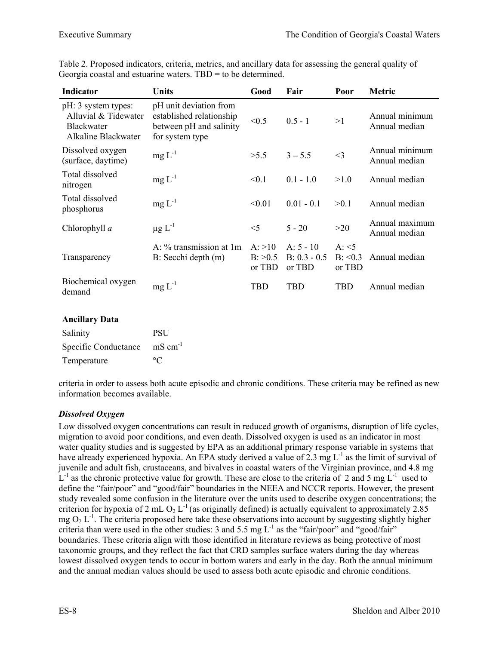| <b>Indicator</b>                                                                        | Units                                                                                            | Good                             | Fair                                    | Poor                                 | Metric                          |
|-----------------------------------------------------------------------------------------|--------------------------------------------------------------------------------------------------|----------------------------------|-----------------------------------------|--------------------------------------|---------------------------------|
| pH: 3 system types:<br>Alluvial & Tidewater<br><b>Blackwater</b><br>Alkaline Blackwater | pH unit deviation from<br>established relationship<br>between pH and salinity<br>for system type | < 0.5                            | $0.5 - 1$                               | >1                                   | Annual minimum<br>Annual median |
| Dissolved oxygen<br>(surface, daytime)                                                  | $mg L^{-1}$                                                                                      | >5.5                             | $3 - 5.5$                               | $<$ 3                                | Annual minimum<br>Annual median |
| Total dissolved<br>nitrogen                                                             | $mg L^{-1}$                                                                                      | < 0.1                            | $0.1 - 1.0$                             | >1.0                                 | Annual median                   |
| Total dissolved<br>phosphorus                                                           | $mg L^{-1}$                                                                                      | < 0.01                           | $0.01 - 0.1$                            | >0.1                                 | Annual median                   |
| Chlorophyll a                                                                           | $\mu$ g L <sup>-1</sup>                                                                          | $<$ 5                            | $5 - 20$                                | >20                                  | Annual maximum<br>Annual median |
| Transparency                                                                            | A: % transmission at 1m<br>B: Secchi depth (m)                                                   | A: >10<br>$B$ : $>0.5$<br>or TBD | $A: 5 - 10$<br>$B: 0.3 - 0.5$<br>or TBD | $A: \le 5$<br>$B: \le 0.3$<br>or TBD | Annual median                   |
| Biochemical oxygen<br>demand                                                            | $mg L^{-1}$                                                                                      | TBD                              | <b>TBD</b>                              | TBD                                  | Annual median                   |

Table 2. Proposed indicators, criteria, metrics, and ancillary data for assessing the general quality of Georgia coastal and estuarine waters. TBD = to be determined.

#### **Ancillary Data**

| Salinity             | <b>PSU</b>          |
|----------------------|---------------------|
| Specific Conductance | $\text{mS cm}^{-1}$ |
| Temperature          | $\circ$ C           |

criteria in order to assess both acute episodic and chronic conditions. These criteria may be refined as new information becomes available.

#### *Dissolved Oxygen*

Low dissolved oxygen concentrations can result in reduced growth of organisms, disruption of life cycles, migration to avoid poor conditions, and even death. Dissolved oxygen is used as an indicator in most water quality studies and is suggested by EPA as an additional primary response variable in systems that have already experienced hypoxia. An EPA study derived a value of 2.3 mg L<sup>-1</sup> as the limit of survival of juvenile and adult fish, crustaceans, and bivalves in coastal waters of the Virginian province, and 4.8 mg  $L^{-1}$  as the chronic protective value for growth. These are close to the criteria of 2 and 5 mg  $L^{-1}$  used to define the "fair/poor" and "good/fair" boundaries in the NEEA and NCCR reports. However, the present study revealed some confusion in the literature over the units used to describe oxygen concentrations; the criterion for hypoxia of 2 mL O<sub>2</sub> L<sup>-1</sup> (as originally defined) is actually equivalent to approximately 2.85 mg  $O_2$  L<sup>-1</sup>. The criteria proposed here take these observations into account by suggesting slightly higher criteria than were used in the other studies: 3 and 5.5 mg  $L^{-1}$  as the "fair/poor" and "good/fair" boundaries. These criteria align with those identified in literature reviews as being protective of most taxonomic groups, and they reflect the fact that CRD samples surface waters during the day whereas lowest dissolved oxygen tends to occur in bottom waters and early in the day. Both the annual minimum and the annual median values should be used to assess both acute episodic and chronic conditions.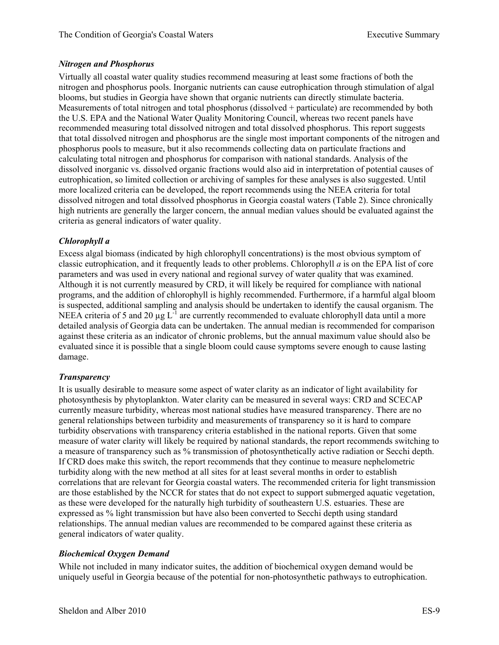#### *Nitrogen and Phosphorus*

Virtually all coastal water quality studies recommend measuring at least some fractions of both the nitrogen and phosphorus pools. Inorganic nutrients can cause eutrophication through stimulation of algal blooms, but studies in Georgia have shown that organic nutrients can directly stimulate bacteria. Measurements of total nitrogen and total phosphorus (dissolved + particulate) are recommended by both the U.S. EPA and the National Water Quality Monitoring Council, whereas two recent panels have recommended measuring total dissolved nitrogen and total dissolved phosphorus. This report suggests that total dissolved nitrogen and phosphorus are the single most important components of the nitrogen and phosphorus pools to measure, but it also recommends collecting data on particulate fractions and calculating total nitrogen and phosphorus for comparison with national standards. Analysis of the dissolved inorganic vs. dissolved organic fractions would also aid in interpretation of potential causes of eutrophication, so limited collection or archiving of samples for these analyses is also suggested. Until more localized criteria can be developed, the report recommends using the NEEA criteria for total dissolved nitrogen and total dissolved phosphorus in Georgia coastal waters (Table 2). Since chronically high nutrients are generally the larger concern, the annual median values should be evaluated against the criteria as general indicators of water quality.

#### *Chlorophyll a*

Excess algal biomass (indicated by high chlorophyll concentrations) is the most obvious symptom of classic eutrophication, and it frequently leads to other problems. Chlorophyll *a* is on the EPA list of core parameters and was used in every national and regional survey of water quality that was examined. Although it is not currently measured by CRD, it will likely be required for compliance with national programs, and the addition of chlorophyll is highly recommended. Furthermore, if a harmful algal bloom is suspected, additional sampling and analysis should be undertaken to identify the causal organism. The NEEA criteria of 5 and 20  $\mu$ g L<sup>-1</sup> are currently recommended to evaluate chlorophyll data until a more detailed analysis of Georgia data can be undertaken. The annual median is recommended for comparison against these criteria as an indicator of chronic problems, but the annual maximum value should also be evaluated since it is possible that a single bloom could cause symptoms severe enough to cause lasting damage.

#### *Transparency*

It is usually desirable to measure some aspect of water clarity as an indicator of light availability for photosynthesis by phytoplankton. Water clarity can be measured in several ways: CRD and SCECAP currently measure turbidity, whereas most national studies have measured transparency. There are no general relationships between turbidity and measurements of transparency so it is hard to compare turbidity observations with transparency criteria established in the national reports. Given that some measure of water clarity will likely be required by national standards, the report recommends switching to a measure of transparency such as % transmission of photosynthetically active radiation or Secchi depth. If CRD does make this switch, the report recommends that they continue to measure nephelometric turbidity along with the new method at all sites for at least several months in order to establish correlations that are relevant for Georgia coastal waters. The recommended criteria for light transmission are those established by the NCCR for states that do not expect to support submerged aquatic vegetation, as these were developed for the naturally high turbidity of southeastern U.S. estuaries. These are expressed as % light transmission but have also been converted to Secchi depth using standard relationships. The annual median values are recommended to be compared against these criteria as general indicators of water quality.

#### *Biochemical Oxygen Demand*

While not included in many indicator suites, the addition of biochemical oxygen demand would be uniquely useful in Georgia because of the potential for non-photosynthetic pathways to eutrophication.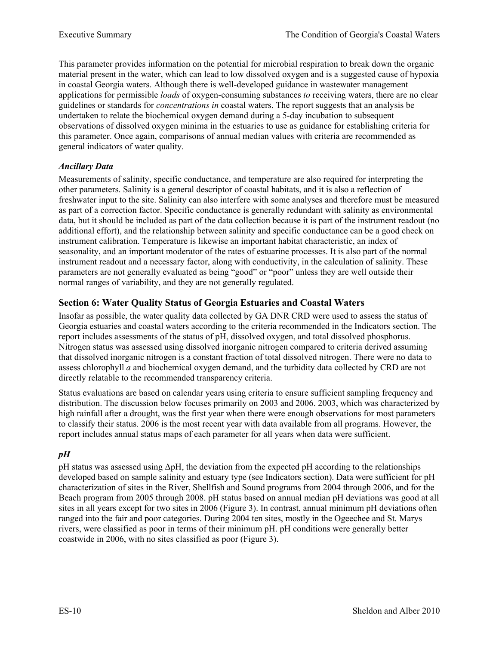This parameter provides information on the potential for microbial respiration to break down the organic material present in the water, which can lead to low dissolved oxygen and is a suggested cause of hypoxia in coastal Georgia waters. Although there is well-developed guidance in wastewater management applications for permissible *loads* of oxygen-consuming substances *to* receiving waters, there are no clear guidelines or standards for *concentrations in* coastal waters. The report suggests that an analysis be undertaken to relate the biochemical oxygen demand during a 5-day incubation to subsequent observations of dissolved oxygen minima in the estuaries to use as guidance for establishing criteria for this parameter. Once again, comparisons of annual median values with criteria are recommended as general indicators of water quality.

### *Ancillary Data*

Measurements of salinity, specific conductance, and temperature are also required for interpreting the other parameters. Salinity is a general descriptor of coastal habitats, and it is also a reflection of freshwater input to the site. Salinity can also interfere with some analyses and therefore must be measured as part of a correction factor. Specific conductance is generally redundant with salinity as environmental data, but it should be included as part of the data collection because it is part of the instrument readout (no additional effort), and the relationship between salinity and specific conductance can be a good check on instrument calibration. Temperature is likewise an important habitat characteristic, an index of seasonality, and an important moderator of the rates of estuarine processes. It is also part of the normal instrument readout and a necessary factor, along with conductivity, in the calculation of salinity. These parameters are not generally evaluated as being "good" or "poor" unless they are well outside their normal ranges of variability, and they are not generally regulated.

## **Section 6: Water Quality Status of Georgia Estuaries and Coastal Waters**

Insofar as possible, the water quality data collected by GA DNR CRD were used to assess the status of Georgia estuaries and coastal waters according to the criteria recommended in the Indicators section. The report includes assessments of the status of pH, dissolved oxygen, and total dissolved phosphorus. Nitrogen status was assessed using dissolved inorganic nitrogen compared to criteria derived assuming that dissolved inorganic nitrogen is a constant fraction of total dissolved nitrogen. There were no data to assess chlorophyll *a* and biochemical oxygen demand, and the turbidity data collected by CRD are not directly relatable to the recommended transparency criteria.

Status evaluations are based on calendar years using criteria to ensure sufficient sampling frequency and distribution. The discussion below focuses primarily on 2003 and 2006. 2003, which was characterized by high rainfall after a drought, was the first year when there were enough observations for most parameters to classify their status. 2006 is the most recent year with data available from all programs. However, the report includes annual status maps of each parameter for all years when data were sufficient.

### *pH*

pH status was assessed using ΔpH, the deviation from the expected pH according to the relationships developed based on sample salinity and estuary type (see Indicators section). Data were sufficient for pH characterization of sites in the River, Shellfish and Sound programs from 2004 through 2006, and for the Beach program from 2005 through 2008. pH status based on annual median pH deviations was good at all sites in all years except for two sites in 2006 (Figure 3). In contrast, annual minimum pH deviations often ranged into the fair and poor categories. During 2004 ten sites, mostly in the Ogeechee and St. Marys rivers, were classified as poor in terms of their minimum pH. pH conditions were generally better coastwide in 2006, with no sites classified as poor (Figure 3).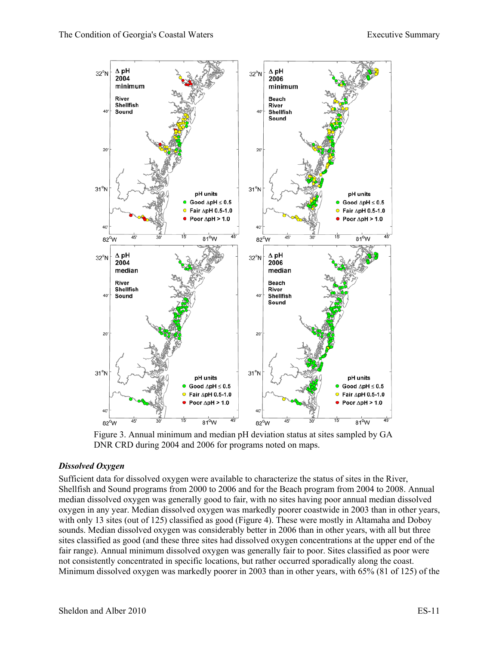

Figure 3. Annual minimum and median pH deviation status at sites sampled by GA DNR CRD during 2004 and 2006 for programs noted on maps.

#### *Dissolved Oxygen*

Sufficient data for dissolved oxygen were available to characterize the status of sites in the River, Shellfish and Sound programs from 2000 to 2006 and for the Beach program from 2004 to 2008. Annual median dissolved oxygen was generally good to fair, with no sites having poor annual median dissolved oxygen in any year. Median dissolved oxygen was markedly poorer coastwide in 2003 than in other years, with only 13 sites (out of 125) classified as good (Figure 4). These were mostly in Altamaha and Doboy sounds. Median dissolved oxygen was considerably better in 2006 than in other years, with all but three sites classified as good (and these three sites had dissolved oxygen concentrations at the upper end of the fair range). Annual minimum dissolved oxygen was generally fair to poor. Sites classified as poor were not consistently concentrated in specific locations, but rather occurred sporadically along the coast. Minimum dissolved oxygen was markedly poorer in 2003 than in other years, with 65% (81 of 125) of the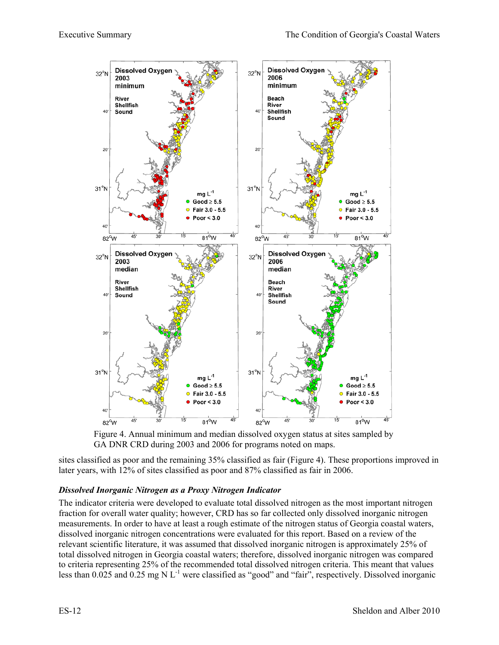

Figure 4. Annual minimum and median dissolved oxygen status at sites sampled by GA DNR CRD during 2003 and 2006 for programs noted on maps.

sites classified as poor and the remaining 35% classified as fair (Figure 4). These proportions improved in later years, with 12% of sites classified as poor and 87% classified as fair in 2006.

#### *Dissolved Inorganic Nitrogen as a Proxy Nitrogen Indicator*

The indicator criteria were developed to evaluate total dissolved nitrogen as the most important nitrogen fraction for overall water quality; however, CRD has so far collected only dissolved inorganic nitrogen measurements. In order to have at least a rough estimate of the nitrogen status of Georgia coastal waters, dissolved inorganic nitrogen concentrations were evaluated for this report. Based on a review of the relevant scientific literature, it was assumed that dissolved inorganic nitrogen is approximately 25% of total dissolved nitrogen in Georgia coastal waters; therefore, dissolved inorganic nitrogen was compared to criteria representing 25% of the recommended total dissolved nitrogen criteria. This meant that values less than  $0.025$  and  $0.25$  mg N L<sup>-1</sup> were classified as "good" and "fair", respectively. Dissolved inorganic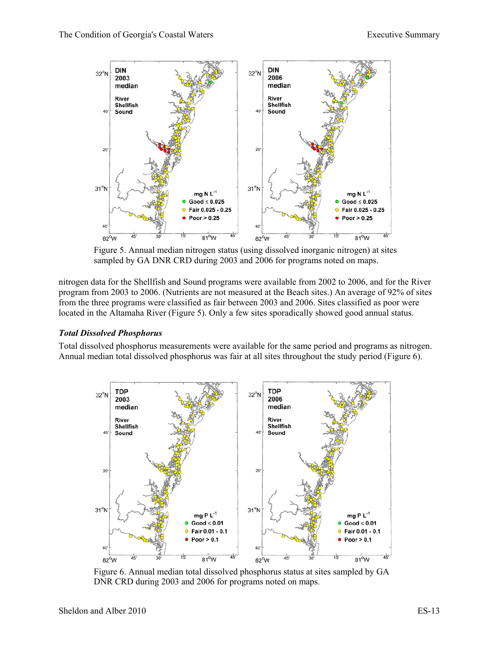

Figure 5. Annual median nitrogen status (using dissolved inorganic nitrogen) at sites sampled by GA DNR CRD during 2003 and 2006 for programs noted on maps.

nitrogen data for the Shellfish and Sound programs were available from 2002 to 2006, and for the River program from 2003 to 2006. (Nutrients are not measured at the Beach sites.) An average of 92% of sites from the three programs were classified as fair between 2003 and 2006. Sites classified as poor were located in the Altamaha River (Figure 5). Only a few sites sporadically showed good annual status.

#### *Total Dissolved Phosphorus*

Total dissolved phosphorus measurements were available for the same period and programs as nitrogen. Annual median total dissolved phosphorus was fair at all sites throughout the study period (Figure 6).



Figure 6. Annual median total dissolved phosphorus status at sites sampled by GA DNR CRD during 2003 and 2006 for programs noted on maps.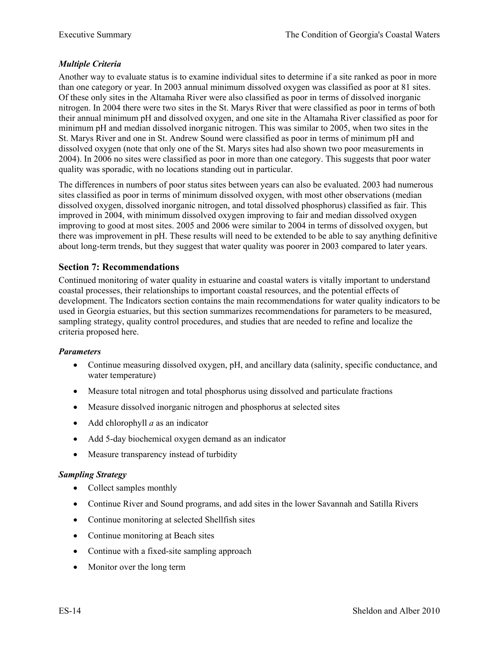#### *Multiple Criteria*

Another way to evaluate status is to examine individual sites to determine if a site ranked as poor in more than one category or year. In 2003 annual minimum dissolved oxygen was classified as poor at 81 sites. Of these only sites in the Altamaha River were also classified as poor in terms of dissolved inorganic nitrogen. In 2004 there were two sites in the St. Marys River that were classified as poor in terms of both their annual minimum pH and dissolved oxygen, and one site in the Altamaha River classified as poor for minimum pH and median dissolved inorganic nitrogen. This was similar to 2005, when two sites in the St. Marys River and one in St. Andrew Sound were classified as poor in terms of minimum pH and dissolved oxygen (note that only one of the St. Marys sites had also shown two poor measurements in 2004). In 2006 no sites were classified as poor in more than one category. This suggests that poor water quality was sporadic, with no locations standing out in particular.

The differences in numbers of poor status sites between years can also be evaluated. 2003 had numerous sites classified as poor in terms of minimum dissolved oxygen, with most other observations (median dissolved oxygen, dissolved inorganic nitrogen, and total dissolved phosphorus) classified as fair. This improved in 2004, with minimum dissolved oxygen improving to fair and median dissolved oxygen improving to good at most sites. 2005 and 2006 were similar to 2004 in terms of dissolved oxygen, but there was improvement in pH. These results will need to be extended to be able to say anything definitive about long-term trends, but they suggest that water quality was poorer in 2003 compared to later years.

#### **Section 7: Recommendations**

Continued monitoring of water quality in estuarine and coastal waters is vitally important to understand coastal processes, their relationships to important coastal resources, and the potential effects of development. The Indicators section contains the main recommendations for water quality indicators to be used in Georgia estuaries, but this section summarizes recommendations for parameters to be measured, sampling strategy, quality control procedures, and studies that are needed to refine and localize the criteria proposed here.

#### *Parameters*

- Continue measuring dissolved oxygen, pH, and ancillary data (salinity, specific conductance, and water temperature)
- Measure total nitrogen and total phosphorus using dissolved and particulate fractions
- Measure dissolved inorganic nitrogen and phosphorus at selected sites
- Add chlorophyll *a* as an indicator
- Add 5-day biochemical oxygen demand as an indicator
- Measure transparency instead of turbidity

#### *Sampling Strategy*

- Collect samples monthly
- Continue River and Sound programs, and add sites in the lower Savannah and Satilla Rivers
- Continue monitoring at selected Shellfish sites
- Continue monitoring at Beach sites
- Continue with a fixed-site sampling approach
- Monitor over the long term